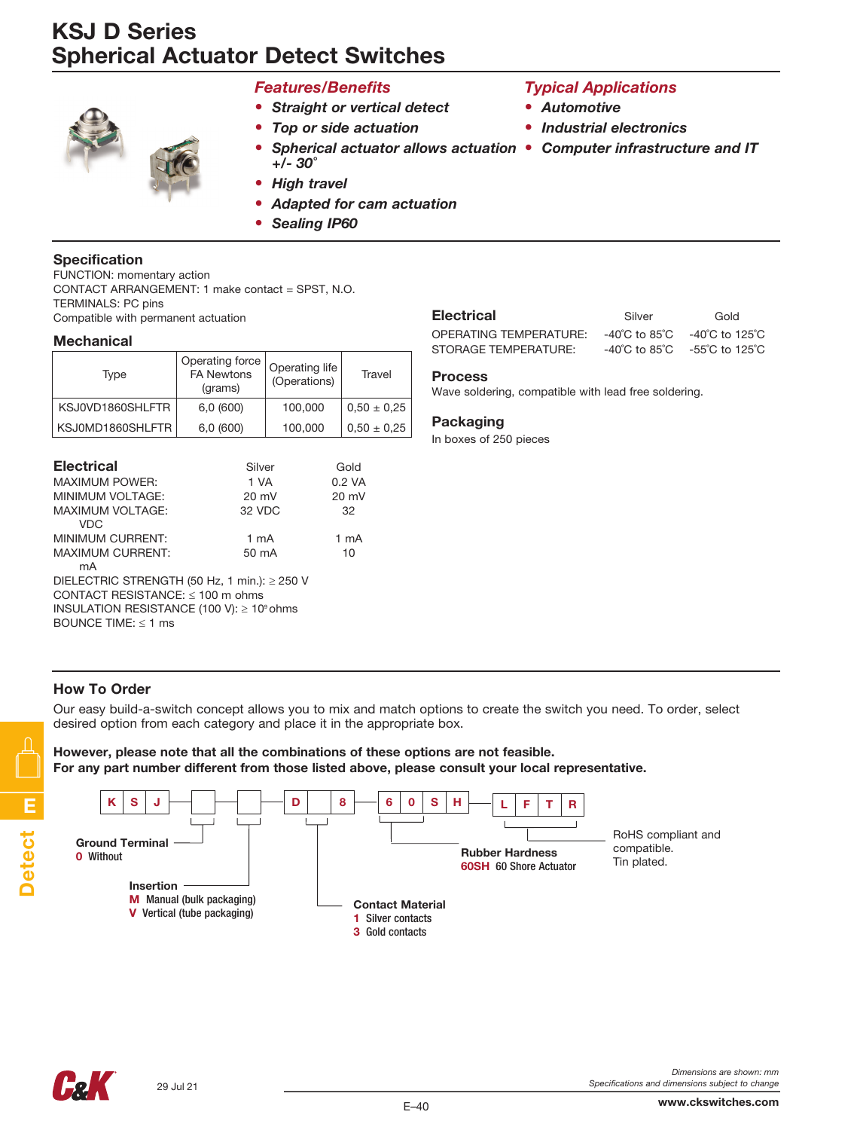# KSJ D Series Spherical Actuator Detect Switches



## *Features/Benefits*

- *• Straight or vertical detect*
- *• Top or side actuation*
- *• Spherical actuator allows actuation • Computer infrastructure and IT +/- 30˚*
- *• High travel*
- *• Adapted for cam actuation*
- *• Sealing IP60*

### Specification

FUNCTION: momentary action CONTACT ARRANGEMENT: 1 make contact = SPST, N.O. TERMINALS: PC pins Compatible with permanent actuation

#### **Mechanical**

| Type             | Operating force<br><b>FA Newtons</b><br>(grams) | Operating life<br>(Operations) | Travel          |
|------------------|-------------------------------------------------|--------------------------------|-----------------|
| KSJ0VD1860SHLFTR | 6,0(600)                                        | 100,000                        | $0.50 \pm 0.25$ |
| KSJ0MD1860SHLFTR | 6,0(600)                                        | 100,000                        | $0.50 \pm 0.25$ |

| <b>Electrical</b>                                     | Silver          | Gold             |  |  |
|-------------------------------------------------------|-----------------|------------------|--|--|
| <b>MAXIMUM POWER:</b>                                 | 1 VA            | $0.2 \text{ VA}$ |  |  |
| MINIMUM VOLTAGE:                                      | $20 \text{ mV}$ | $20 \text{ mV}$  |  |  |
| <b>MAXIMUM VOLTAGE:</b>                               | 32 VDC          | 32               |  |  |
| VDC.                                                  |                 |                  |  |  |
| MINIMUM CURRENT:                                      | $1 \text{ mA}$  | 1 mA             |  |  |
| <b>MAXIMUM CURRENT:</b>                               | $50 \text{ mA}$ | 10               |  |  |
| mA                                                    |                 |                  |  |  |
| DIELECTRIC STRENGTH (50 Hz, 1 min.): $\geq$ 250 V     |                 |                  |  |  |
| CONTACT RESISTANCE: $\leq$ 100 m ohms                 |                 |                  |  |  |
| INSULATION RESISTANCE (100 V): $\geq 10^{\circ}$ ohms |                 |                  |  |  |
| BOUNCE TIME: $<$ 1 ms                                 |                 |                  |  |  |

| Electrical             | Silver | Gold                                                                   |
|------------------------|--------|------------------------------------------------------------------------|
| OPERATING TEMPERATURE: |        | $-40^{\circ}$ C to 85 $^{\circ}$ C $-40^{\circ}$ C to 125 $^{\circ}$ C |
| STORAGE TEMPERATURE:   |        | $-40^{\circ}$ C to 85 $^{\circ}$ C $-55^{\circ}$ C to 125 $^{\circ}$ C |

*Typical Applications*

*• Industrial electronics*

*• Automotive*

#### Process

Wave soldering, compatible with lead free soldering.

#### Packaging

In boxes of 250 pieces

## How To Order

Our easy build-a-switch concept allows you to mix and match options to create the switch you need. To order, select desired option from each category and place it in the appropriate box.

However, please note that all the combinations of these options are not feasible. For any part number different from those listed above, please consult your local representative.







www.ckswitches.com